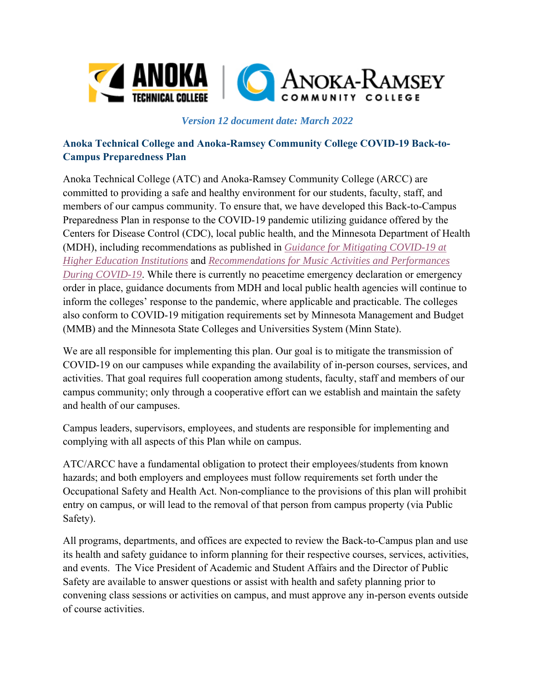

## **Anoka Technical College and Anoka-Ramsey Community College COVID-19 Back-to-Campus Preparedness Plan**

Anoka Technical College (ATC) and Anoka-Ramsey Community College (ARCC) are committed to providing a safe and healthy environment for our students, faculty, staff, and members of our campus community. To ensure that, we have developed this Back-to-Campus Preparedness Plan in response to the COVID-19 pandemic utilizing guidance offered by the Centers for Disease Control (CDC), local public health, and the Minnesota Department of Health (MDH), including recommendations as published in *Guidance for Mitigating COVID-19 at Higher Education Institutions* and *Recommendations for Music Activities and Performances During COVID-19*. While there is currently no peacetime emergency declaration or emergency order in place, guidance documents from MDH and local public health agencies will continue to inform the colleges' response to the pandemic, where applicable and practicable. The colleges also conform to COVID-19 mitigation requirements set by Minnesota Management and Budget (MMB) and the Minnesota State Colleges and Universities System (Minn State).

We are all responsible for implementing this plan. Our goal is to mitigate the transmission of COVID-19 on our campuses while expanding the availability of in-person courses, services, and activities. That goal requires full cooperation among students, faculty, staff and members of our campus community; only through a cooperative effort can we establish and maintain the safety and health of our campuses.

Campus leaders, supervisors, employees, and students are responsible for implementing and complying with all aspects of this Plan while on campus.

ATC/ARCC have a fundamental obligation to protect their employees/students from known hazards; and both employers and employees must follow requirements set forth under the Occupational Safety and Health Act. Non-compliance to the provisions of this plan will prohibit entry on campus, or will lead to the removal of that person from campus property (via Public Safety).

All programs, departments, and offices are expected to review the Back-to-Campus plan and use its health and safety guidance to inform planning for their respective courses, services, activities, and events. The Vice President of Academic and Student Affairs and the Director of Public Safety are available to answer questions or assist with health and safety planning prior to convening class sessions or activities on campus, and must approve any in-person events outside of course activities.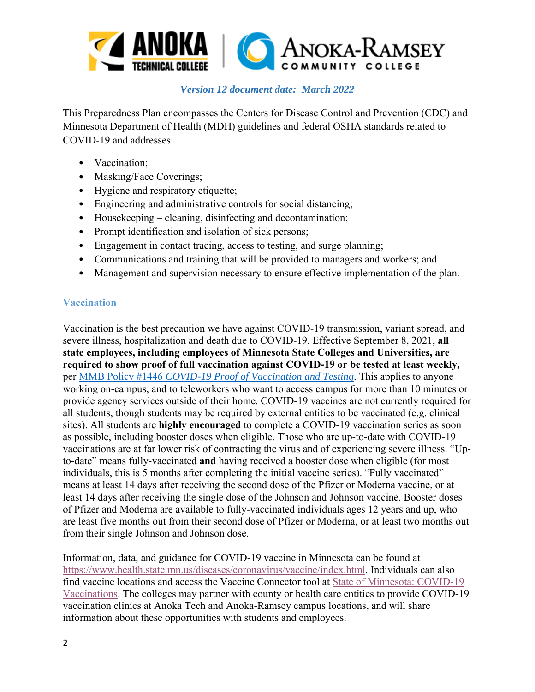

This Preparedness Plan encompasses the Centers for Disease Control and Prevention (CDC) and Minnesota Department of Health (MDH) guidelines and federal OSHA standards related to COVID-19 and addresses:

- Vaccination;
- Masking/Face Coverings;
- Hygiene and respiratory etiquette;
- Engineering and administrative controls for social distancing;
- Housekeeping cleaning, disinfecting and decontamination;
- Prompt identification and isolation of sick persons;
- Engagement in contact tracing, access to testing, and surge planning;
- Communications and training that will be provided to managers and workers; and
- Management and supervision necessary to ensure effective implementation of the plan.

## **Vaccination**

Vaccination is the best precaution we have against COVID-19 transmission, variant spread, and severe illness, hospitalization and death due to COVID-19. Effective September 8, 2021, **all state employees, including employees of Minnesota State Colleges and Universities, are required to show proof of full vaccination against COVID-19 or be tested at least weekly,**  per MMB Policy #1446 *COVID-19 Proof of Vaccination and Testing*. This applies to anyone working on-campus, and to teleworkers who want to access campus for more than 10 minutes or provide agency services outside of their home. COVID-19 vaccines are not currently required for all students, though students may be required by external entities to be vaccinated (e.g. clinical sites). All students are **highly encouraged** to complete a COVID-19 vaccination series as soon as possible, including booster doses when eligible. Those who are up-to-date with COVID-19 vaccinations are at far lower risk of contracting the virus and of experiencing severe illness. "Upto-date" means fully-vaccinated **and** having received a booster dose when eligible (for most individuals, this is 5 months after completing the initial vaccine series). "Fully vaccinated" means at least 14 days after receiving the second dose of the Pfizer or Moderna vaccine, or at least 14 days after receiving the single dose of the Johnson and Johnson vaccine. Booster doses of Pfizer and Moderna are available to fully-vaccinated individuals ages 12 years and up, who are least five months out from their second dose of Pfizer or Moderna, or at least two months out from their single Johnson and Johnson dose.

Information, data, and guidance for COVID-19 vaccine in Minnesota can be found at https://www.health.state.mn.us/diseases/coronavirus/vaccine/index.html. Individuals can also find vaccine locations and access the Vaccine Connector tool at State of Minnesota: COVID-19 Vaccinations. The colleges may partner with county or health care entities to provide COVID-19 vaccination clinics at Anoka Tech and Anoka-Ramsey campus locations, and will share information about these opportunities with students and employees.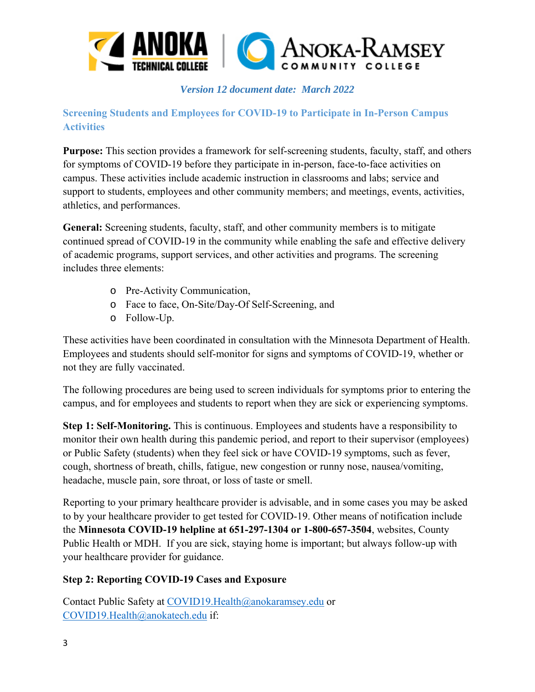

## **Screening Students and Employees for COVID-19 to Participate in In-Person Campus Activities**

**Purpose:** This section provides a framework for self-screening students, faculty, staff, and others for symptoms of COVID-19 before they participate in in-person, face-to-face activities on campus. These activities include academic instruction in classrooms and labs; service and support to students, employees and other community members; and meetings, events, activities, athletics, and performances.

**General:** Screening students, faculty, staff, and other community members is to mitigate continued spread of COVID-19 in the community while enabling the safe and effective delivery of academic programs, support services, and other activities and programs. The screening includes three elements:

- o Pre-Activity Communication,
- o Face to face, On-Site/Day-Of Self-Screening, and
- o Follow-Up.

These activities have been coordinated in consultation with the Minnesota Department of Health. Employees and students should self-monitor for signs and symptoms of COVID-19, whether or not they are fully vaccinated.

The following procedures are being used to screen individuals for symptoms prior to entering the campus, and for employees and students to report when they are sick or experiencing symptoms.

**Step 1: Self-Monitoring.** This is continuous. Employees and students have a responsibility to monitor their own health during this pandemic period, and report to their supervisor (employees) or Public Safety (students) when they feel sick or have COVID-19 symptoms, such as fever, cough, shortness of breath, chills, fatigue, new congestion or runny nose, nausea/vomiting, headache, muscle pain, sore throat, or loss of taste or smell.

Reporting to your primary healthcare provider is advisable, and in some cases you may be asked to by your healthcare provider to get tested for COVID-19. Other means of notification include the **Minnesota COVID-19 helpline at 651-297-1304 or 1-800-657-3504**, websites, County Public Health or MDH. If you are sick, staying home is important; but always follow-up with your healthcare provider for guidance.

## **Step 2: Reporting COVID-19 Cases and Exposure**

Contact Public Safety at COVID19.Health@anokaramsey.edu or COVID19.Health@anokatech.edu if: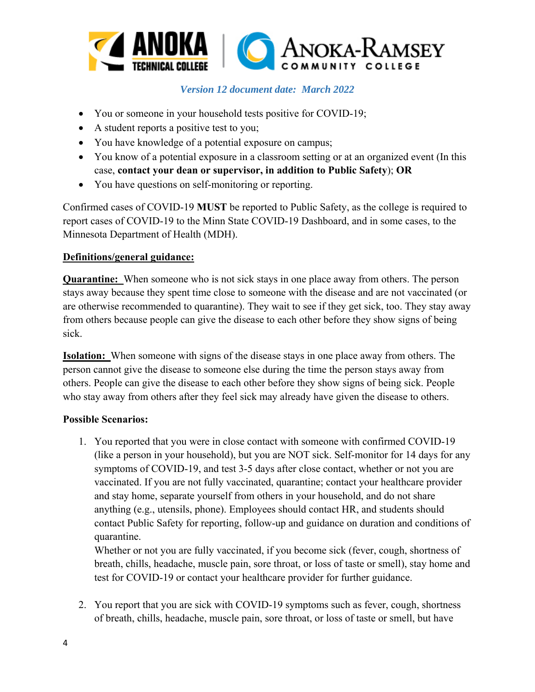

- You or someone in your household tests positive for COVID-19;
- A student reports a positive test to you;
- You have knowledge of a potential exposure on campus;
- You know of a potential exposure in a classroom setting or at an organized event (In this case, **contact your dean or supervisor, in addition to Public Safety**); **OR**
- You have questions on self-monitoring or reporting.

Confirmed cases of COVID-19 **MUST** be reported to Public Safety, as the college is required to report cases of COVID-19 to the Minn State COVID-19 Dashboard, and in some cases, to the Minnesota Department of Health (MDH).

### **Definitions/general guidance:**

**Quarantine:** When someone who is not sick stays in one place away from others. The person stays away because they spent time close to someone with the disease and are not vaccinated (or are otherwise recommended to quarantine). They wait to see if they get sick, too. They stay away from others because people can give the disease to each other before they show signs of being sick.

**Isolation:** When someone with signs of the disease stays in one place away from others. The person cannot give the disease to someone else during the time the person stays away from others. People can give the disease to each other before they show signs of being sick. People who stay away from others after they feel sick may already have given the disease to others.

#### **Possible Scenarios:**

1. You reported that you were in close contact with someone with confirmed COVID-19 (like a person in your household), but you are NOT sick. Self-monitor for 14 days for any symptoms of COVID-19, and test 3-5 days after close contact, whether or not you are vaccinated. If you are not fully vaccinated, quarantine; contact your healthcare provider and stay home, separate yourself from others in your household, and do not share anything (e.g., utensils, phone). Employees should contact HR, and students should contact Public Safety for reporting, follow-up and guidance on duration and conditions of quarantine.

Whether or not you are fully vaccinated, if you become sick (fever, cough, shortness of breath, chills, headache, muscle pain, sore throat, or loss of taste or smell), stay home and test for COVID-19 or contact your healthcare provider for further guidance.

2. You report that you are sick with COVID-19 symptoms such as fever, cough, shortness of breath, chills, headache, muscle pain, sore throat, or loss of taste or smell, but have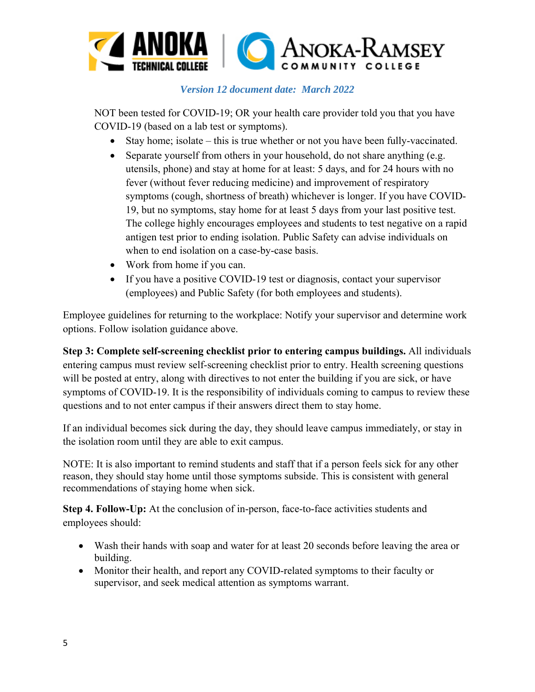

NOT been tested for COVID-19; OR your health care provider told you that you have COVID-19 (based on a lab test or symptoms).

- Stay home; isolate this is true whether or not you have been fully-vaccinated.
- Separate yourself from others in your household, do not share anything (e.g. utensils, phone) and stay at home for at least: 5 days, and for 24 hours with no fever (without fever reducing medicine) and improvement of respiratory symptoms (cough, shortness of breath) whichever is longer. If you have COVID-19, but no symptoms, stay home for at least 5 days from your last positive test. The college highly encourages employees and students to test negative on a rapid antigen test prior to ending isolation. Public Safety can advise individuals on when to end isolation on a case-by-case basis.
- Work from home if you can.
- If you have a positive COVID-19 test or diagnosis, contact your supervisor (employees) and Public Safety (for both employees and students).

Employee guidelines for returning to the workplace: Notify your supervisor and determine work options. Follow isolation guidance above.

**Step 3: Complete self-screening checklist prior to entering campus buildings.** All individuals entering campus must review self-screening checklist prior to entry. Health screening questions will be posted at entry, along with directives to not enter the building if you are sick, or have symptoms of COVID-19. It is the responsibility of individuals coming to campus to review these questions and to not enter campus if their answers direct them to stay home.

If an individual becomes sick during the day, they should leave campus immediately, or stay in the isolation room until they are able to exit campus.

NOTE: It is also important to remind students and staff that if a person feels sick for any other reason, they should stay home until those symptoms subside. This is consistent with general recommendations of staying home when sick.

**Step 4. Follow-Up:** At the conclusion of in-person, face-to-face activities students and employees should:

- Wash their hands with soap and water for at least 20 seconds before leaving the area or building.
- Monitor their health, and report any COVID-related symptoms to their faculty or supervisor, and seek medical attention as symptoms warrant.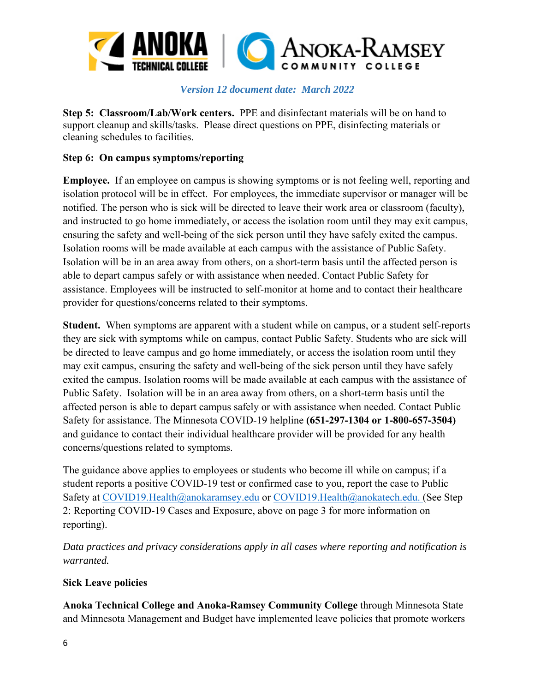

**Step 5: Classroom/Lab/Work centers.** PPE and disinfectant materials will be on hand to support cleanup and skills/tasks. Please direct questions on PPE, disinfecting materials or cleaning schedules to facilities.

#### **Step 6: On campus symptoms/reporting**

**Employee.** If an employee on campus is showing symptoms or is not feeling well, reporting and isolation protocol will be in effect. For employees, the immediate supervisor or manager will be notified. The person who is sick will be directed to leave their work area or classroom (faculty), and instructed to go home immediately, or access the isolation room until they may exit campus, ensuring the safety and well-being of the sick person until they have safely exited the campus. Isolation rooms will be made available at each campus with the assistance of Public Safety. Isolation will be in an area away from others, on a short-term basis until the affected person is able to depart campus safely or with assistance when needed. Contact Public Safety for assistance. Employees will be instructed to self-monitor at home and to contact their healthcare provider for questions/concerns related to their symptoms.

**Student.** When symptoms are apparent with a student while on campus, or a student self-reports they are sick with symptoms while on campus, contact Public Safety. Students who are sick will be directed to leave campus and go home immediately, or access the isolation room until they may exit campus, ensuring the safety and well-being of the sick person until they have safely exited the campus. Isolation rooms will be made available at each campus with the assistance of Public Safety. Isolation will be in an area away from others, on a short-term basis until the affected person is able to depart campus safely or with assistance when needed. Contact Public Safety for assistance. The Minnesota COVID-19 helpline **(651-297-1304 or 1-800-657-3504)** and guidance to contact their individual healthcare provider will be provided for any health concerns/questions related to symptoms.

The guidance above applies to employees or students who become ill while on campus; if a student reports a positive COVID-19 test or confirmed case to you, report the case to Public Safety at COVID19.Health@anokaramsey.edu or COVID19.Health@anokatech.edu. (See Step 2: Reporting COVID-19 Cases and Exposure, above on page 3 for more information on reporting).

*Data practices and privacy considerations apply in all cases where reporting and notification is warranted.*

#### **Sick Leave policies**

**Anoka Technical College and Anoka-Ramsey Community College** through Minnesota State and Minnesota Management and Budget have implemented leave policies that promote workers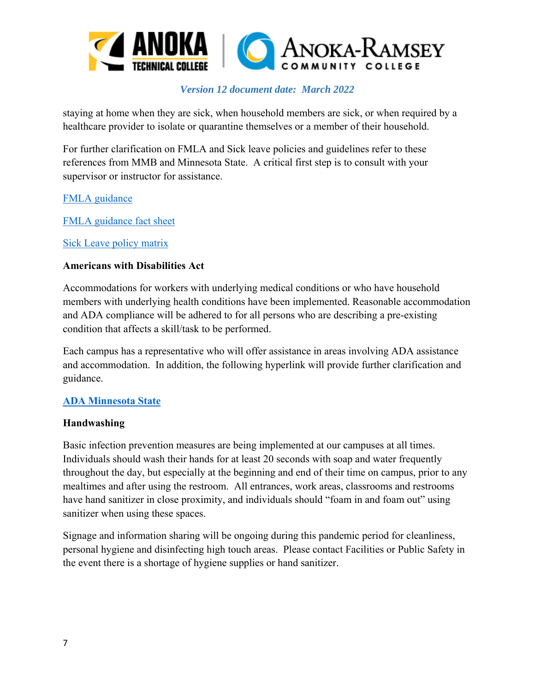

staying at home when they are sick, when household members are sick, or when required by a healthcare provider to isolate or quarantine themselves or a member of their household.

For further clarification on FMLA and Sick leave policies and guidelines refer to these references from MMB and Minnesota State. A critical first step is to consult with your supervisor or instructor for assistance.

#### FMLA guidance

FMLA guidance fact sheet

Sick Leave policy matrix

#### **Americans with Disabilities Act**

Accommodations for workers with underlying medical conditions or who have household members with underlying health conditions have been implemented. Reasonable accommodation and ADA compliance will be adhered to for all persons who are describing a pre-existing condition that affects a skill/task to be performed.

Each campus has a representative who will offer assistance in areas involving ADA assistance and accommodation. In addition, the following hyperlink will provide further clarification and guidance.

#### **ADA Minnesota State**

#### **Handwashing**

Basic infection prevention measures are being implemented at our campuses at all times. Individuals should wash their hands for at least 20 seconds with soap and water frequently throughout the day, but especially at the beginning and end of their time on campus, prior to any mealtimes and after using the restroom. All entrances, work areas, classrooms and restrooms have hand sanitizer in close proximity, and individuals should "foam in and foam out" using sanitizer when using these spaces.

Signage and information sharing will be ongoing during this pandemic period for cleanliness, personal hygiene and disinfecting high touch areas. Please contact Facilities or Public Safety in the event there is a shortage of hygiene supplies or hand sanitizer.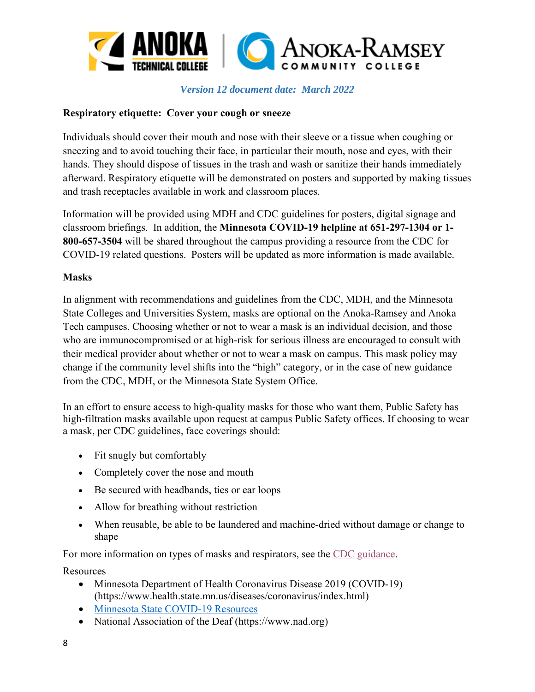

#### **Respiratory etiquette: Cover your cough or sneeze**

Individuals should cover their mouth and nose with their sleeve or a tissue when coughing or sneezing and to avoid touching their face, in particular their mouth, nose and eyes, with their hands. They should dispose of tissues in the trash and wash or sanitize their hands immediately afterward. Respiratory etiquette will be demonstrated on posters and supported by making tissues and trash receptacles available in work and classroom places.

Information will be provided using MDH and CDC guidelines for posters, digital signage and classroom briefings. In addition, the **Minnesota COVID-19 helpline at 651-297-1304 or 1- 800-657-3504** will be shared throughout the campus providing a resource from the CDC for COVID-19 related questions. Posters will be updated as more information is made available.

#### **Masks**

In alignment with recommendations and guidelines from the CDC, MDH, and the Minnesota State Colleges and Universities System, masks are optional on the Anoka-Ramsey and Anoka Tech campuses. Choosing whether or not to wear a mask is an individual decision, and those who are immunocompromised or at high-risk for serious illness are encouraged to consult with their medical provider about whether or not to wear a mask on campus. This mask policy may change if the community level shifts into the "high" category, or in the case of new guidance from the CDC, MDH, or the Minnesota State System Office.

In an effort to ensure access to high-quality masks for those who want them, Public Safety has high-filtration masks available upon request at campus Public Safety offices. If choosing to wear a mask, per CDC guidelines, face coverings should:

- Fit snugly but comfortably
- Completely cover the nose and mouth
- Be secured with headbands, ties or ear loops
- Allow for breathing without restriction
- When reusable, be able to be laundered and machine-dried without damage or change to shape

For more information on types of masks and respirators, see the CDC guidance.

Resources

- Minnesota Department of Health Coronavirus Disease 2019 (COVID-19) (https://www.health.state.mn.us/diseases/coronavirus/index.html)
- Minnesota State COVID-19 Resources
- National Association of the Deaf (https://www.nad.org)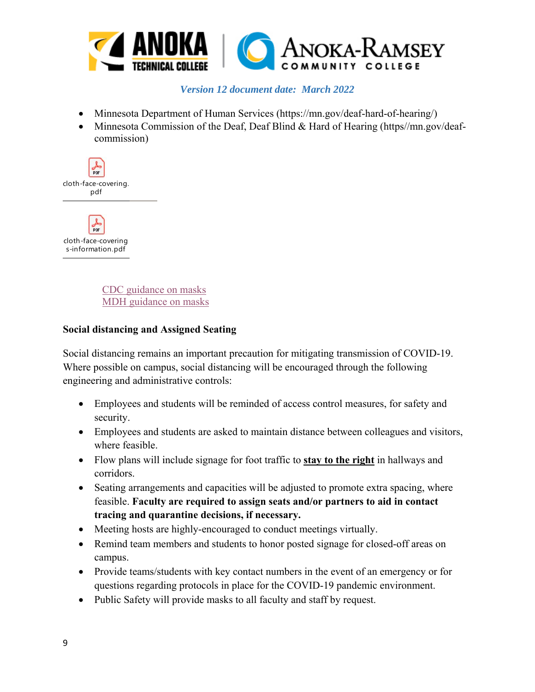

- Minnesota Department of Human Services (https://mn.gov/deaf-hard-of-hearing/)
- Minnesota Commission of the Deaf, Deaf Blind & Hard of Hearing (https//mn.gov/deafcommission)



人际 cloth-face-covering s-information.pdf

> CDC guidance on masks MDH guidance on masks

### **Social distancing and Assigned Seating**

Social distancing remains an important precaution for mitigating transmission of COVID-19. Where possible on campus, social distancing will be encouraged through the following engineering and administrative controls:

- Employees and students will be reminded of access control measures, for safety and security.
- Employees and students are asked to maintain distance between colleagues and visitors, where feasible.
- Flow plans will include signage for foot traffic to **stay to the right** in hallways and corridors.
- Seating arrangements and capacities will be adjusted to promote extra spacing, where feasible. **Faculty are required to assign seats and/or partners to aid in contact tracing and quarantine decisions, if necessary.**
- Meeting hosts are highly-encouraged to conduct meetings virtually.
- Remind team members and students to honor posted signage for closed-off areas on campus.
- Provide teams/students with key contact numbers in the event of an emergency or for questions regarding protocols in place for the COVID-19 pandemic environment.
- Public Safety will provide masks to all faculty and staff by request.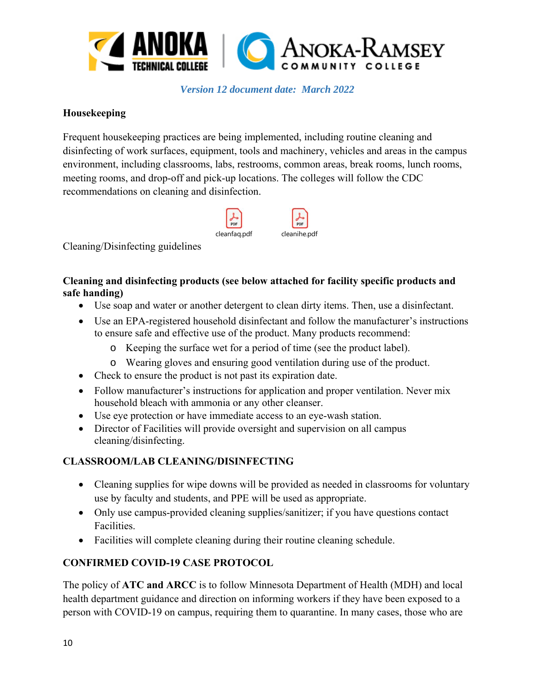

#### **Housekeeping**

Frequent housekeeping practices are being implemented, including routine cleaning and disinfecting of work surfaces, equipment, tools and machinery, vehicles and areas in the campus environment, including classrooms, labs, restrooms, common areas, break rooms, lunch rooms, meeting rooms, and drop-off and pick-up locations. The colleges will follow the CDC recommendations on cleaning and disinfection.



Cleaning/Disinfecting guidelines

## **Cleaning and disinfecting products (see below attached for facility specific products and safe handing)**

- Use soap and water or another detergent to clean dirty items. Then, use a disinfectant.
- Use an EPA-registered household disinfectant and follow the manufacturer's instructions to ensure safe and effective use of the product. Many products recommend:
	- o Keeping the surface wet for a period of time (see the product label).
	- o Wearing gloves and ensuring good ventilation during use of the product.
- Check to ensure the product is not past its expiration date.
- Follow manufacturer's instructions for application and proper ventilation. Never mix household bleach with ammonia or any other cleanser.
- Use eye protection or have immediate access to an eye-wash station.
- Director of Facilities will provide oversight and supervision on all campus cleaning/disinfecting.

# **CLASSROOM/LAB CLEANING/DISINFECTING**

- Cleaning supplies for wipe downs will be provided as needed in classrooms for voluntary use by faculty and students, and PPE will be used as appropriate.
- Only use campus-provided cleaning supplies/sanitizer; if you have questions contact Facilities.
- Facilities will complete cleaning during their routine cleaning schedule.

# **CONFIRMED COVID-19 CASE PROTOCOL**

The policy of **ATC and ARCC** is to follow Minnesota Department of Health (MDH) and local health department guidance and direction on informing workers if they have been exposed to a person with COVID-19 on campus, requiring them to quarantine. In many cases, those who are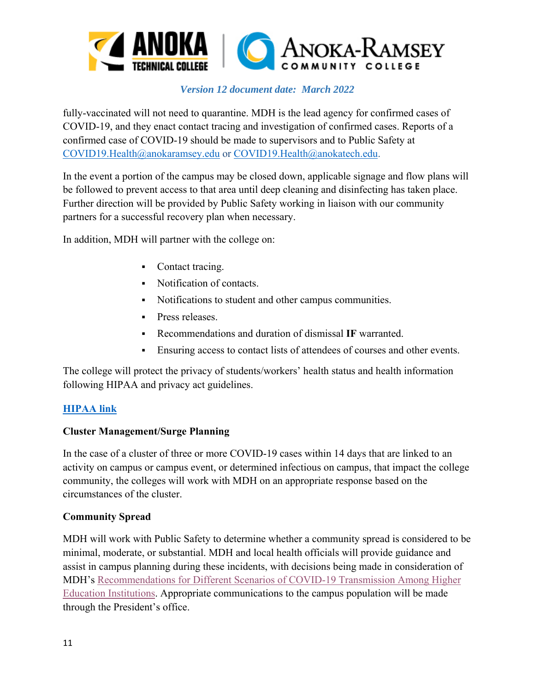

fully-vaccinated will not need to quarantine. MDH is the lead agency for confirmed cases of COVID-19, and they enact contact tracing and investigation of confirmed cases. Reports of a confirmed case of COVID-19 should be made to supervisors and to Public Safety at COVID19.Health@anokaramsey.edu or COVID19.Health@anokatech.edu.

In the event a portion of the campus may be closed down, applicable signage and flow plans will be followed to prevent access to that area until deep cleaning and disinfecting has taken place. Further direction will be provided by Public Safety working in liaison with our community partners for a successful recovery plan when necessary.

In addition, MDH will partner with the college on:

- Contact tracing.
- Notification of contacts.
- Notifications to student and other campus communities.
- **Press releases.**
- Recommendations and duration of dismissal **IF** warranted.
- Ensuring access to contact lists of attendees of courses and other events.

The college will protect the privacy of students/workers' health status and health information following HIPAA and privacy act guidelines.

#### **HIPAA link**

#### **Cluster Management/Surge Planning**

In the case of a cluster of three or more COVID-19 cases within 14 days that are linked to an activity on campus or campus event, or determined infectious on campus, that impact the college community, the colleges will work with MDH on an appropriate response based on the circumstances of the cluster.

#### **Community Spread**

MDH will work with Public Safety to determine whether a community spread is considered to be minimal, moderate, or substantial. MDH and local health officials will provide guidance and assist in campus planning during these incidents, with decisions being made in consideration of MDH's Recommendations for Different Scenarios of COVID-19 Transmission Among Higher Education Institutions. Appropriate communications to the campus population will be made through the President's office.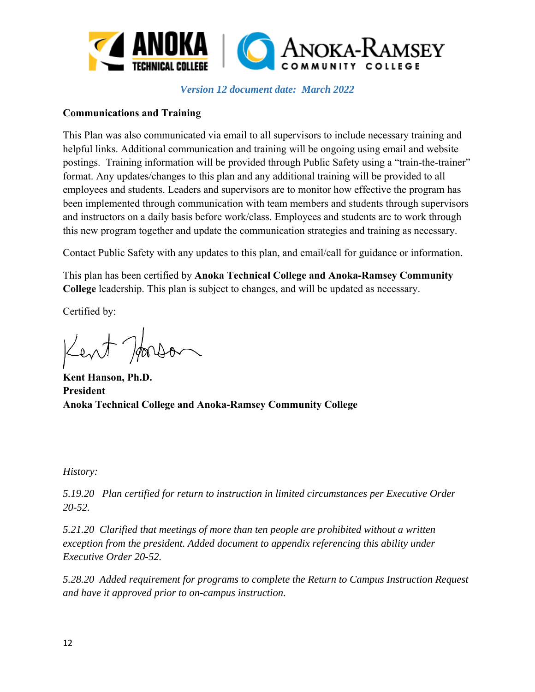

#### **Communications and Training**

This Plan was also communicated via email to all supervisors to include necessary training and helpful links. Additional communication and training will be ongoing using email and website postings. Training information will be provided through Public Safety using a "train-the-trainer" format. Any updates/changes to this plan and any additional training will be provided to all employees and students. Leaders and supervisors are to monitor how effective the program has been implemented through communication with team members and students through supervisors and instructors on a daily basis before work/class. Employees and students are to work through this new program together and update the communication strategies and training as necessary.

Contact Public Safety with any updates to this plan, and email/call for guidance or information.

This plan has been certified by **Anoka Technical College and Anoka-Ramsey Community College** leadership. This plan is subject to changes, and will be updated as necessary.

Certified by:

Kent Horson

**Kent Hanson, Ph.D. President Anoka Technical College and Anoka-Ramsey Community College** 

*History:*

*5.19.20 Plan certified for return to instruction in limited circumstances per Executive Order 20-52.* 

*5.21.20 Clarified that meetings of more than ten people are prohibited without a written exception from the president. Added document to appendix referencing this ability under Executive Order 20-52.* 

*5.28.20 Added requirement for programs to complete the Return to Campus Instruction Request and have it approved prior to on-campus instruction.*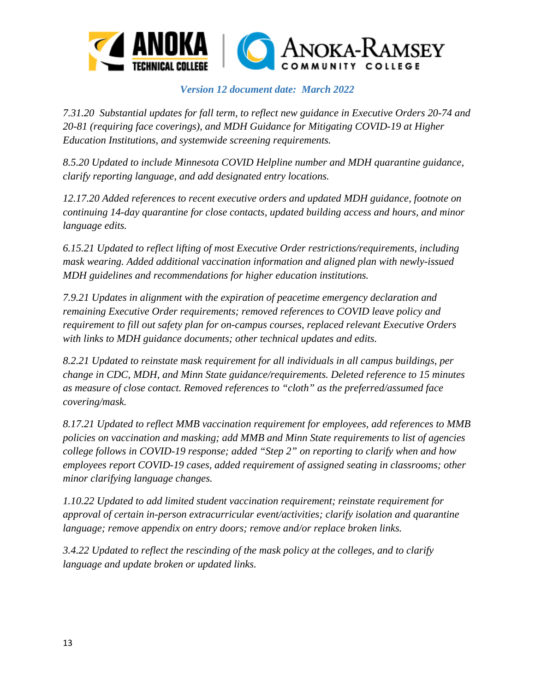

*7.31.20 Substantial updates for fall term, to reflect new guidance in Executive Orders 20-74 and 20-81 (requiring face coverings), and MDH Guidance for Mitigating COVID-19 at Higher Education Institutions, and systemwide screening requirements.* 

*8.5.20 Updated to include Minnesota COVID Helpline number and MDH quarantine guidance, clarify reporting language, and add designated entry locations.* 

*12.17.20 Added references to recent executive orders and updated MDH guidance, footnote on continuing 14-day quarantine for close contacts, updated building access and hours, and minor language edits.* 

*6.15.21 Updated to reflect lifting of most Executive Order restrictions/requirements, including mask wearing. Added additional vaccination information and aligned plan with newly-issued MDH guidelines and recommendations for higher education institutions.* 

*7.9.21 Updates in alignment with the expiration of peacetime emergency declaration and remaining Executive Order requirements; removed references to COVID leave policy and requirement to fill out safety plan for on-campus courses, replaced relevant Executive Orders with links to MDH guidance documents; other technical updates and edits.* 

*8.2.21 Updated to reinstate mask requirement for all individuals in all campus buildings, per change in CDC, MDH, and Minn State guidance/requirements. Deleted reference to 15 minutes as measure of close contact. Removed references to "cloth" as the preferred/assumed face covering/mask.* 

*8.17.21 Updated to reflect MMB vaccination requirement for employees, add references to MMB policies on vaccination and masking; add MMB and Minn State requirements to list of agencies college follows in COVID-19 response; added "Step 2" on reporting to clarify when and how employees report COVID-19 cases, added requirement of assigned seating in classrooms; other minor clarifying language changes.* 

*1.10.22 Updated to add limited student vaccination requirement; reinstate requirement for approval of certain in-person extracurricular event/activities; clarify isolation and quarantine language; remove appendix on entry doors; remove and/or replace broken links.* 

*3.4.22 Updated to reflect the rescinding of the mask policy at the colleges, and to clarify language and update broken or updated links.*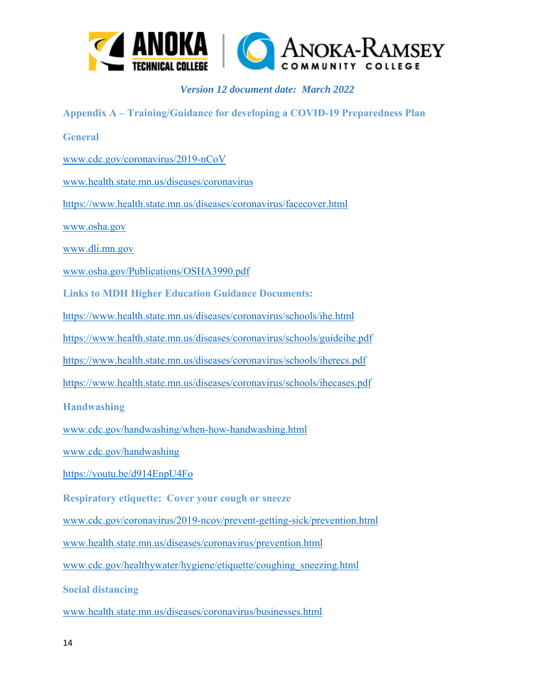

**Appendix A – Training/Guidance for developing a COVID-19 Preparedness Plan General**  www.cdc.gov/coronavirus/2019-nCoV www.health.state.mn.us/diseases/coronavirus https://www.health.state.mn.us/diseases/coronavirus/facecover.html www.osha.gov www.dli.mn.gov www.osha.gov/Publications/OSHA3990.pdf **Links to MDH Higher Education Guidance Documents:** https://www.health.state.mn.us/diseases/coronavirus/schools/ihe.html https://www.health.state.mn.us/diseases/coronavirus/schools/guideihe.pdf https://www.health.state.mn.us/diseases/coronavirus/schools/iherecs.pdf https://www.health.state.mn.us/diseases/coronavirus/schools/ihecases.pdf **Handwashing**  www.cdc.gov/handwashing/when-how-handwashing.html www.cdc.gov/handwashing https://youtu.be/d914EnpU4Fo **Respiratory etiquette: Cover your cough or sneeze**  www.cdc.gov/coronavirus/2019-ncov/prevent-getting-sick/prevention.html www.health.state.mn.us/diseases/coronavirus/prevention.html www.cdc.gov/healthywater/hygiene/etiquette/coughing\_sneezing.html **Social distancing**  www.health.state.mn.us/diseases/coronavirus/businesses.html